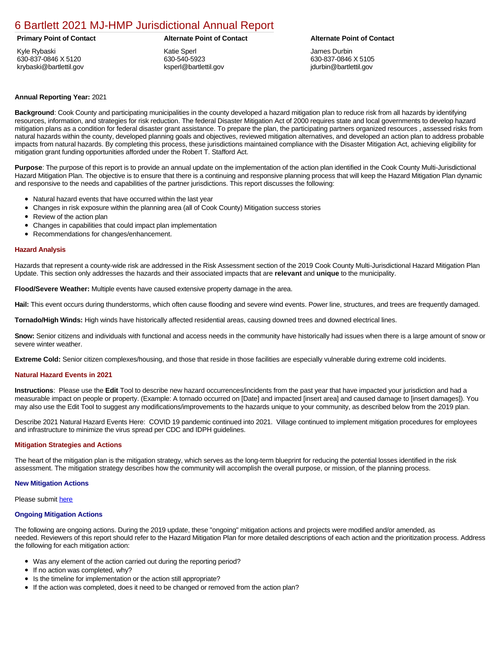## [6 Bartlett 2021 MJ-HMP Jurisdictional Annual Report](https://ccdhsem-bartlett.isc-cemp.com/Cemp/Details?id=8322756)

Kyle Rybaski 630-837-0846 X 5120 krybaski@bartlettil.gov

### **Primary Point of Contact Alternate Point of Contact Alternate Point of Contact**

Katie Sperl 630-540-5923 ksperl@bartlettil.gov

James Durbin 630-837-0846 X 5105 jdurbin@bartlettil.gov

### **Annual Reporting Year:** 2021

**Background**: Cook County and participating municipalities in the county developed a hazard mitigation plan to reduce risk from all hazards by identifying resources, information, and strategies for risk reduction. The federal Disaster Mitigation Act of 2000 requires state and local governments to develop hazard mitigation plans as a condition for federal disaster grant assistance. To prepare the plan, the participating partners organized resources , assessed risks from natural hazards within the county, developed planning goals and objectives, reviewed mitigation alternatives, and developed an action plan to address probable impacts from natural hazards. By completing this process, these jurisdictions maintained compliance with the Disaster Mitigation Act, achieving eligibility for mitigation grant funding opportunities afforded under the Robert T. Stafford Act.

**Purpose**: The purpose of this report is to provide an annual update on the implementation of the action plan identified in the Cook County Multi-Jurisdictional Hazard Mitigation Plan. The objective is to ensure that there is a continuing and responsive planning process that will keep the Hazard Mitigation Plan dynamic and responsive to the needs and capabilities of the partner jurisdictions. This report discusses the following:

- Natural hazard events that have occurred within the last year
- Changes in risk exposure within the planning area (all of Cook County) Mitigation success stories
- Review of the action plan
- Changes in capabilities that could impact plan implementation
- Recommendations for changes/enhancement.

#### **Hazard Analysis**

Hazards that represent a county-wide risk are addressed in the Risk Assessment section of the 2019 Cook County Multi-Jurisdictional Hazard Mitigation Plan Update. This section only addresses the hazards and their associated impacts that are **relevant** and **unique** to the municipality.

**Flood/Severe Weather:** Multiple events have caused extensive property damage in the area.

**Hail:** This event occurs during thunderstorms, which often cause flooding and severe wind events. Power line, structures, and trees are frequently damaged.

**Tornado/High Winds:** High winds have historically affected residential areas, causing downed trees and downed electrical lines.

**Snow:** Senior citizens and individuals with functional and access needs in the community have historically had issues when there is a large amount of snow or severe winter weather.

**Extreme Cold:** Senior citizen complexes/housing, and those that reside in those facilities are especially vulnerable during extreme cold incidents.

#### **Natural Hazard Events in 2021**

**Instructions**: Please use the **Edit** Tool to describe new hazard occurrences/incidents from the past year that have impacted your jurisdiction and had a measurable impact on people or property. (Example: A tornado occurred on [Date] and impacted [insert area] and caused damage to [insert damages]). You may also use the Edit Tool to suggest any modifications/improvements to the hazards unique to your community, as described below from the 2019 plan.

Describe 2021 Natural Hazard Events Here: COVID 19 pandemic continued into 2021. Village continued to implement mitigation procedures for employees and infrastructure to minimize the virus spread per CDC and IDPH guidelines.

#### **Mitigation Strategies and Actions**

The heart of the mitigation plan is the mitigation strategy, which serves as the long-term blueprint for reducing the potential losses identified in the risk assessment. The mitigation strategy describes how the community will accomplish the overall purpose, or mission, of the planning process.

#### **New Mitigation Actions**

#### Please submit [here](https://integratedsolutions.wufoo.com/forms/mg21jvf0jn639o/)

#### **Ongoing Mitigation Actions**

The following are ongoing actions. During the 2019 update, these "ongoing" mitigation actions and projects were modified and/or amended, as needed. Reviewers of this report should refer to the Hazard Mitigation Plan for more detailed descriptions of each action and the prioritization process. Address the following for each mitigation action:

- Was any element of the action carried out during the reporting period?
- If no action was completed, why?
- Is the timeline for implementation or the action still appropriate?
- If the action was completed, does it need to be changed or removed from the action plan?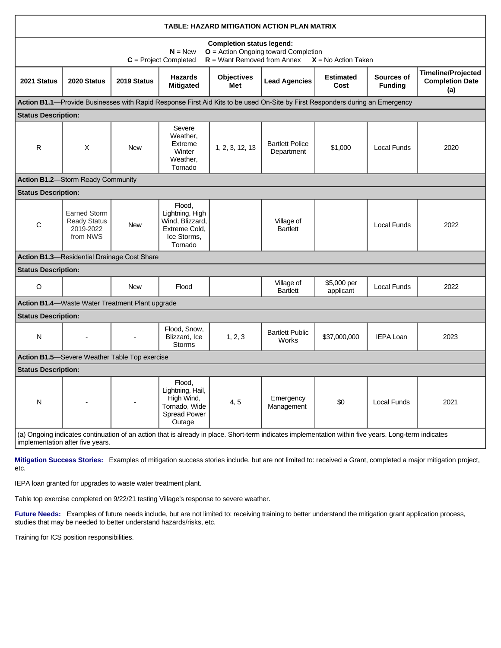| TABLE: HAZARD MITIGATION ACTION PLAN MATRIX                                                                                                                                              |                                                                     |             |                                                                                         |                          |                                                                                                                              |                          |                              |                                                            |
|------------------------------------------------------------------------------------------------------------------------------------------------------------------------------------------|---------------------------------------------------------------------|-------------|-----------------------------------------------------------------------------------------|--------------------------|------------------------------------------------------------------------------------------------------------------------------|--------------------------|------------------------------|------------------------------------------------------------|
| <b>Completion status legend:</b><br><b>O</b> = Action Ongoing toward Completion<br>$N = New$<br>$R =$ Want Removed from Annex<br>$C = Project Completed$<br>$X = No$ Action Taken        |                                                                     |             |                                                                                         |                          |                                                                                                                              |                          |                              |                                                            |
| 2021 Status                                                                                                                                                                              | 2020 Status                                                         | 2019 Status | <b>Hazards</b><br><b>Mitigated</b>                                                      | <b>Objectives</b><br>Met | <b>Lead Agencies</b>                                                                                                         | <b>Estimated</b><br>Cost | Sources of<br><b>Funding</b> | <b>Timeline/Projected</b><br><b>Completion Date</b><br>(a) |
|                                                                                                                                                                                          |                                                                     |             |                                                                                         |                          | Action B1.1—Provide Businesses with Rapid Response First Aid Kits to be used On-Site by First Responders during an Emergency |                          |                              |                                                            |
| <b>Status Description:</b>                                                                                                                                                               |                                                                     |             |                                                                                         |                          |                                                                                                                              |                          |                              |                                                            |
| $\mathsf{R}$                                                                                                                                                                             | X                                                                   | <b>New</b>  | Severe<br>Weather,<br>Extreme<br>Winter<br>Weather,<br>Tornado                          | 1, 2, 3, 12, 13          | <b>Bartlett Police</b><br>Department                                                                                         | \$1,000                  | Local Funds                  | 2020                                                       |
|                                                                                                                                                                                          | <b>Action B1.2-Storm Ready Community</b>                            |             |                                                                                         |                          |                                                                                                                              |                          |                              |                                                            |
| <b>Status Description:</b>                                                                                                                                                               |                                                                     |             |                                                                                         |                          |                                                                                                                              |                          |                              |                                                            |
| C                                                                                                                                                                                        | <b>Earned Storm</b><br><b>Ready Status</b><br>2019-2022<br>from NWS | <b>New</b>  | Flood,<br>Lightning, High<br>Wind, Blizzard,<br>Extreme Cold.<br>Ice Storms,<br>Tornado |                          | Village of<br><b>Bartlett</b>                                                                                                |                          | Local Funds                  | 2022                                                       |
|                                                                                                                                                                                          | Action B1.3-Residential Drainage Cost Share                         |             |                                                                                         |                          |                                                                                                                              |                          |                              |                                                            |
| <b>Status Description:</b>                                                                                                                                                               |                                                                     |             |                                                                                         |                          |                                                                                                                              |                          |                              |                                                            |
| $\circ$                                                                                                                                                                                  |                                                                     | New         | Flood                                                                                   |                          | Village of<br><b>Bartlett</b>                                                                                                | \$5,000 per<br>applicant | <b>Local Funds</b>           | 2022                                                       |
|                                                                                                                                                                                          | Action B1.4-Waste Water Treatment Plant upgrade                     |             |                                                                                         |                          |                                                                                                                              |                          |                              |                                                            |
| <b>Status Description:</b>                                                                                                                                                               |                                                                     |             |                                                                                         |                          |                                                                                                                              |                          |                              |                                                            |
| N                                                                                                                                                                                        |                                                                     |             | Flood, Snow,<br>Blizzard, Ice<br><b>Storms</b>                                          | 1, 2, 3                  | <b>Bartlett Public</b><br>Works                                                                                              | \$37,000,000             | <b>IEPA Loan</b>             | 2023                                                       |
| Action B1.5-Severe Weather Table Top exercise                                                                                                                                            |                                                                     |             |                                                                                         |                          |                                                                                                                              |                          |                              |                                                            |
| <b>Status Description:</b>                                                                                                                                                               |                                                                     |             |                                                                                         |                          |                                                                                                                              |                          |                              |                                                            |
| N                                                                                                                                                                                        |                                                                     |             | Flood,<br>Lightning, Hail,<br>High Wind,<br>Tornado, Wide<br>Spread Power<br>Outage     | 4, 5                     | Emergency<br>Management                                                                                                      | \$0                      | Local Funds                  | 2021                                                       |
| (a) Ongoing indicates continuation of an action that is already in place. Short-term indicates implementation within five years. Long-term indicates<br>implementation after five years. |                                                                     |             |                                                                                         |                          |                                                                                                                              |                          |                              |                                                            |

**Mitigation Success Stories:** Examples of mitigation success stories include, but are not limited to: received a Grant, completed a major mitigation project, etc.

IEPA loan granted for upgrades to waste water treatment plant.

Table top exercise completed on 9/22/21 testing Village's response to severe weather.

**Future Needs:** Examples of future needs include, but are not limited to: receiving training to better understand the mitigation grant application process, studies that may be needed to better understand hazards/risks, etc.

Training for ICS position responsibilities.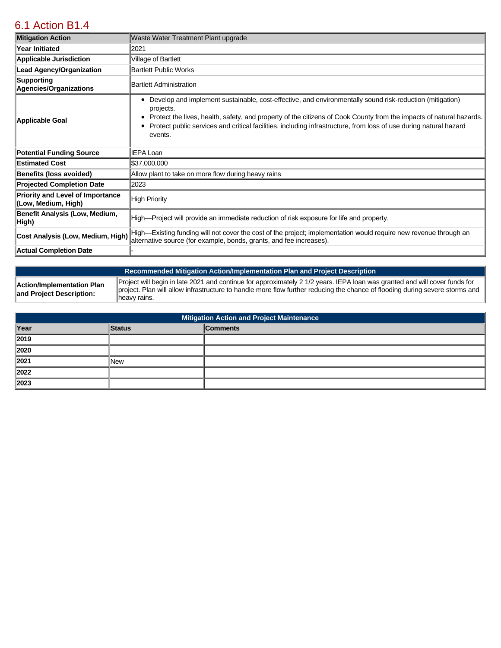## [6.1 Action B1.4](https://ccdhsem-bartlett.isc-cemp.com/Cemp/Details?id=8334901)

| <b>Mitigation Action</b>                                       | Waste Water Treatment Plant upgrade                                                                                                                                                                                                                                                                                                                                                         |
|----------------------------------------------------------------|---------------------------------------------------------------------------------------------------------------------------------------------------------------------------------------------------------------------------------------------------------------------------------------------------------------------------------------------------------------------------------------------|
| <b>Year Initiated</b>                                          | 2021                                                                                                                                                                                                                                                                                                                                                                                        |
| <b>Applicable Jurisdiction</b>                                 | Village of Bartlett                                                                                                                                                                                                                                                                                                                                                                         |
| <b>Lead Agency/Organization</b>                                | <b>Bartlett Public Works</b>                                                                                                                                                                                                                                                                                                                                                                |
| Supporting<br>Agencies/Organizations                           | Bartlett Administration                                                                                                                                                                                                                                                                                                                                                                     |
| Applicable Goal                                                | Develop and implement sustainable, cost-effective, and environmentally sound risk-reduction (mitigation)<br>٠<br>projects.<br>Protect the lives, health, safety, and property of the citizens of Cook County from the impacts of natural hazards.<br>٠<br>Protect public services and critical facilities, including infrastructure, from loss of use during natural hazard<br>٠<br>events. |
| <b>Potential Funding Source</b>                                | <b>IEPA Loan</b>                                                                                                                                                                                                                                                                                                                                                                            |
| <b>Estimated Cost</b>                                          | \$37,000,000                                                                                                                                                                                                                                                                                                                                                                                |
| <b>Benefits (loss avoided)</b>                                 | Allow plant to take on more flow during heavy rains                                                                                                                                                                                                                                                                                                                                         |
| <b>Projected Completion Date</b>                               | 2023                                                                                                                                                                                                                                                                                                                                                                                        |
| <b>Priority and Level of Importance</b><br>(Low, Medium, High) | <b>High Priority</b>                                                                                                                                                                                                                                                                                                                                                                        |
| Benefit Analysis (Low, Medium,<br>High)                        | High—Project will provide an immediate reduction of risk exposure for life and property.                                                                                                                                                                                                                                                                                                    |
| Cost Analysis (Low, Medium, High)                              | High—Existing funding will not cover the cost of the project; implementation would require new revenue through an<br>alternative source (for example, bonds, grants, and fee increases).                                                                                                                                                                                                    |
| Actual Completion Date                                         |                                                                                                                                                                                                                                                                                                                                                                                             |

| Project will begin in late 2021 and continue for approximately 2 1/2 years. IEPA loan was granted and will cover funds for<br>Action/Implementation Plan<br>project. Plan will allow infrastructure to handle more flow further reducing the chance of flooding during severe storms and<br>and Project Description:<br>llheavy rains. |
|----------------------------------------------------------------------------------------------------------------------------------------------------------------------------------------------------------------------------------------------------------------------------------------------------------------------------------------|

| <b>Mitigation Action and Project Maintenance</b> |            |                 |  |
|--------------------------------------------------|------------|-----------------|--|
| Year                                             | Status     | <b>Comments</b> |  |
| 2019                                             |            |                 |  |
| 2020                                             |            |                 |  |
| 2021                                             | <b>New</b> |                 |  |
| 2022                                             |            |                 |  |
| 2023                                             |            |                 |  |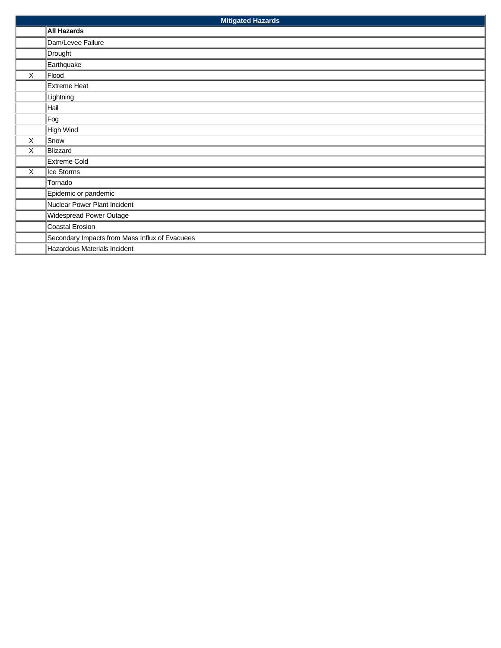|   | <b>Mitigated Hazards</b>                       |  |  |
|---|------------------------------------------------|--|--|
|   | All Hazards                                    |  |  |
|   | Dam/Levee Failure                              |  |  |
|   | Drought                                        |  |  |
|   | Earthquake                                     |  |  |
| X | Flood                                          |  |  |
|   | Extreme Heat                                   |  |  |
|   | Lightning                                      |  |  |
|   | Hail                                           |  |  |
|   | Fog                                            |  |  |
|   | High Wind                                      |  |  |
| X | Snow                                           |  |  |
| X | Blizzard                                       |  |  |
|   | Extreme Cold                                   |  |  |
| X | Ice Storms                                     |  |  |
|   | Tornado                                        |  |  |
|   | Epidemic or pandemic                           |  |  |
|   | Nuclear Power Plant Incident                   |  |  |
|   | Widespread Power Outage                        |  |  |
|   | Coastal Erosion                                |  |  |
|   | Secondary Impacts from Mass Influx of Evacuees |  |  |
|   | Hazardous Materials Incident                   |  |  |